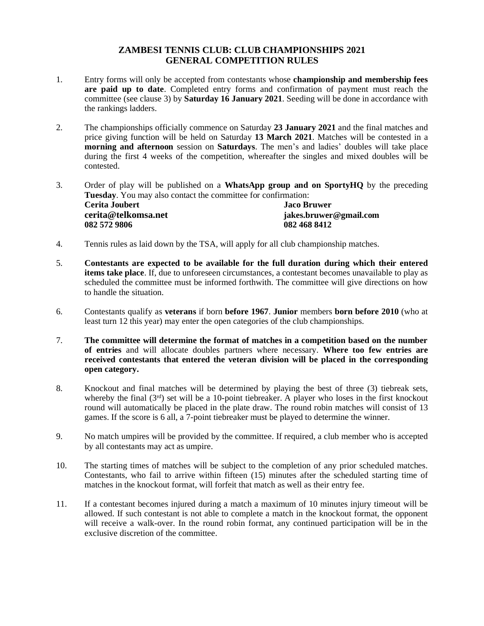## **ZAMBESI TENNIS CLUB: CLUB CHAMPIONSHIPS 2021 GENERAL COMPETITION RULES**

- 1. Entry forms will only be accepted from contestants whose **championship and membership fees are paid up to date**. Completed entry forms and confirmation of payment must reach the committee (see clause 3) by **Saturday 16 January 2021**. Seeding will be done in accordance with the rankings ladders.
- 2. The championships officially commence on Saturday **23 January 2021** and the final matches and price giving function will be held on Saturday **13 March 2021**. Matches will be contested in a **morning and afternoon** session on **Saturdays**. The men's and ladies' doubles will take place during the first 4 weeks of the competition, whereafter the singles and mixed doubles will be contested.
- 3. Order of play will be published on a **WhatsApp group and on SportyHQ** by the preceding **Tuesday**. You may also contact the committee for confirmation: **Cerita Joubert Jaco Bruwer cerita@telkomsa.net jakes.bruwer@gmail.com 082 572 9806 082 468 8412**
- 4. Tennis rules as laid down by the TSA, will apply for all club championship matches.
- 5. **Contestants are expected to be available for the full duration during which their entered items take place**. If, due to unforeseen circumstances, a contestant becomes unavailable to play as scheduled the committee must be informed forthwith. The committee will give directions on how to handle the situation.
- 6. Contestants qualify as **veterans** if born **before 1967**. **Junior** members **born before 2010** (who at least turn 12 this year) may enter the open categories of the club championships.
- 7. **The committee will determine the format of matches in a competition based on the number of entries** and will allocate doubles partners where necessary. **Where too few entries are received contestants that entered the veteran division will be placed in the corresponding open category.**
- 8. Knockout and final matches will be determined by playing the best of three (3) tiebreak sets, whereby the final (3<sup>rd</sup>) set will be a 10-point tiebreaker. A player who loses in the first knockout round will automatically be placed in the plate draw. The round robin matches will consist of 13 games. If the score is 6 all, a 7-point tiebreaker must be played to determine the winner.
- 9. No match umpires will be provided by the committee. If required, a club member who is accepted by all contestants may act as umpire.
- 10. The starting times of matches will be subject to the completion of any prior scheduled matches. Contestants, who fail to arrive within fifteen (15) minutes after the scheduled starting time of matches in the knockout format, will forfeit that match as well as their entry fee.
- 11. If a contestant becomes injured during a match a maximum of 10 minutes injury timeout will be allowed. If such contestant is not able to complete a match in the knockout format, the opponent will receive a walk-over. In the round robin format, any continued participation will be in the exclusive discretion of the committee.